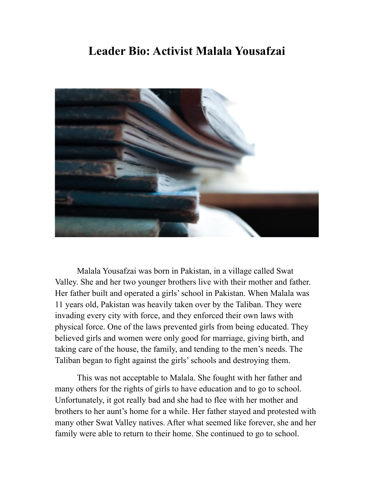## **Leader Bio: Activist Malala Yousafzai**



Malala Yousafzai was born in Pakistan, in a village called Swat Valley. She and her two younger brothers live with their mother and father. Her father built and operated a girls' school in Pakistan. When Malala was 11 years old, Pakistan was heavily taken over by the Taliban. They were invading every city with force, and they enforced their own laws with physical force. One of the laws prevented girls from being educated. They believed girls and women were only good for marriage, giving birth, and taking care of the house, the family, and tending to the men's needs. The Taliban began to fight against the girls' schools and destroying them.

This was not acceptable to Malala. She fought with her father and many others for the rights of girls to have education and to go to school. Unfortunately, it got really bad and she had to flee with her mother and brothers to her aunt's home for a while. Her father stayed and protested with many other Swat Valley natives. After what seemed like forever, she and her family were able to return to their home. She continued to go to school.